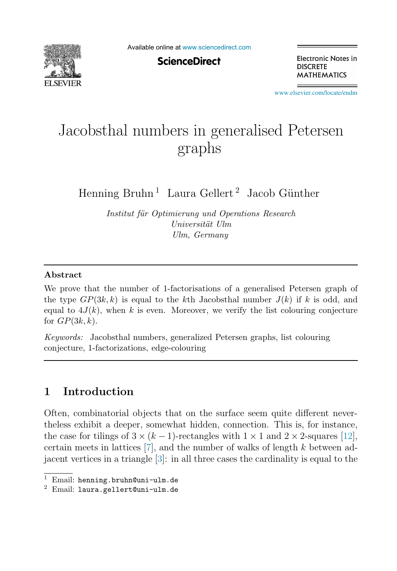

Available online at [www.sciencedirect.com](http://www.sciencedirect.com)

**ScienceDirect** 

Electronic Notes in **DISCRETE MATHEMATICS** 

[www.elsevier.com/locate/endm](http://www.elsevier.com/locate/endm)

# Jacobsthal numbers in generalised Petersen graphs

Henning Bruhn<sup>1</sup> Laura Gellert<sup>2</sup> Jacob Günther

*Institut f¨ur Optimierung und Operations Research Universit¨at Ulm Ulm, Germany*

#### Abstract

We prove that the number of 1-factorisations of a generalised Petersen graph of the type  $GP(3k, k)$  is equal to the kth Jacobsthal number  $J(k)$  if k is odd, and equal to  $4J(k)$ , when k is even. Moreover, we verify the list colouring conjecture for  $GP(3k, k)$ .

*Keywords:* Jacobsthal numbers, generalized Petersen graphs, list colouring conjecture, 1-factorizations, edge-colouring

## 1 Introduction

Often, combinatorial objects that on the surface seem quite different nevertheless exhibit a deeper, somewhat hidden, connection. This is, for instance, the case for tilings of  $3 \times (k-1)$ -rectangles with  $1 \times 1$  and  $2 \times 2$ -squares [\[12\]](#page-7-0). certain meets in lattices  $[7]$ , and the number of walks of length k between adjacent vertices in a triangle [\[3\]](#page-6-1): in all three cases the cardinality is equal to the

<sup>&</sup>lt;sup>1</sup> Email: henning.bruhn@uni-ulm.de  $^2$  Email: laura.gellert@uni-ulm.de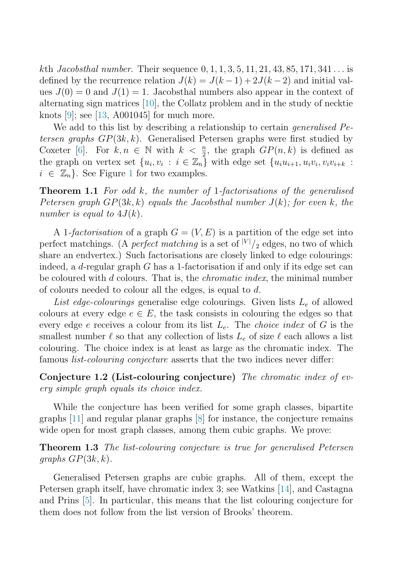kth *Jacobsthal number*. Their sequence 0, 1, 1, 3, 5, 11, 21, 43, 85, 171, 341 . . . is defined by the recurrence relation  $J(k) = J(k-1) + 2J(k-2)$  and initial values  $J(0) = 0$  and  $J(1) = 1$ . Jacobsthal numbers also appear in the context of alternating sign matrices [\[10\]](#page-6-2), the Collatz problem and in the study of necktie knots [\[9\]](#page-6-3); see [\[13,](#page-7-1) A001045] for much more.

<span id="page-1-0"></span>We add to this list by describing a relationship to certain *generalised Petersen graphs* GP(3k, k). Generalised Petersen graphs were first studied by Coxeter [\[6\]](#page-6-4). For  $k, n \in \mathbb{N}$  with  $k < \frac{n}{2}$ , the graph  $GP(n, k)$  is defined as the graph on vertex set  $\{u_i, v_i : i \in \mathbb{Z}_n\}$  with edge set  $\{u_i u_{i+1}, u_i v_i, v_i v_{i+k}$ .  $i \in \mathbb{Z}_n$ . See Figure [1](#page-2-0) for two examples.

Theorem 1.1 *For odd* k*, the number of* 1*-factorisations of the generalised Petersen graph* GP(3k, k) *equals the Jacobsthal number* J(k)*; for even* k*, the number is equal to*  $4J(k)$ *.* 

A 1-factorisation of a graph  $G = (V, E)$  is a partition of the edge set into perfect matchings. (A *perfect matching* is a set of  $|V|/2$  edges, no two of which share an endvertex.) Such factorisations are closely linked to edge colourings: indeed, a  $d$ -regular graph  $G$  has a 1-factorisation if and only if its edge set can be coloured with d colours. That is, the *chromatic index*, the minimal number of colours needed to colour all the edges, is equal to d.

List edge-colourings generalise edge colourings. Given lists  $L_e$  of allowed colours at every edge  $e \in E$ , the task consists in colouring the edges so that every edge e receives a colour from its list Le. The *choice index* of G is the smallest number  $\ell$  so that any collection of lists  $L_e$  of size  $\ell$  each allows a list colouring. The choice index is at least as large as the chromatic index. The famous *list-colouring conjecture* asserts that the two indices never differ:

Conjecture 1.2 (List-colouring conjecture) *The chromatic index of every simple graph equals its choice index.*

<span id="page-1-1"></span>While the conjecture has been verified for some graph classes, bipartite graphs [\[11\]](#page-6-5) and regular planar graphs [\[8\]](#page-6-6) for instance, the conjecture remains wide open for most graph classes, among them cubic graphs. We prove:

Theorem 1.3 *The list-colouring conjecture is true for generalised Petersen graphs* GP(3k, k)*.*

Generalised Petersen graphs are cubic graphs. All of them, except the Petersen graph itself, have chromatic index 3; see Watkins [\[14\]](#page-7-2), and Castagna and Prins [\[5\]](#page-6-7). In particular, this means that the list colouring conjecture for them does not follow from the list version of Brooks' theorem.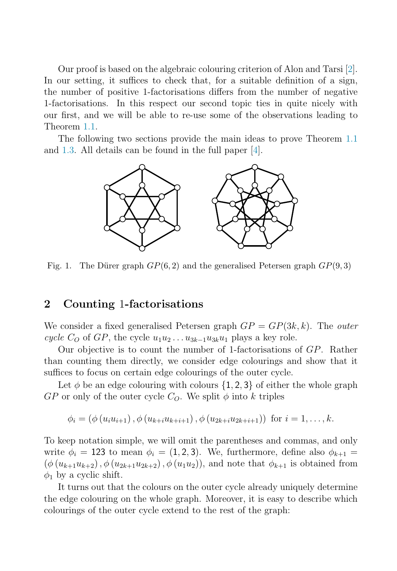Our proof is based on the algebraic colouring criterion of Alon and Tarsi [\[2\]](#page-6-8). In our setting, it suffices to check that, for a suitable definition of a sign, the number of positive 1-factorisations differs from the number of negative 1-factorisations. In this respect our second topic ties in quite nicely with our first, and we will be able to re-use some of the observations leading to Theorem [1.1.](#page-1-0)

The following two sections provide the main ideas to prove Theorem [1.1](#page-1-0) and [1.3.](#page-1-1) All details can be found in the full paper [\[4\]](#page-6-9).

<span id="page-2-0"></span>

<span id="page-2-2"></span>Fig. 1. The Dürer graph  $GP(6, 2)$  and the generalised Petersen graph  $GP(9, 3)$ 

#### 2 Counting 1-factorisations

We consider a fixed generalised Petersen graph GP = GP(3k, k). The *outer cycle*  $C_Q$  of  $GP$ , the cycle  $u_1u_2 \ldots u_{3k-1}u_{3k}u_1$  plays a key role.

Our objective is to count the number of 1-factorisations of GP. Rather than counting them directly, we consider edge colourings and show that it suffices to focus on certain edge colourings of the outer cycle.

Let  $\phi$  be an edge colouring with colours  $\{1, 2, 3\}$  of either the whole graph  $GP$  or only of the outer cycle  $C_O$ . We split  $\phi$  into k triples

$$
\phi_i = (\phi(u_i u_{i+1}), \phi(u_{k+i} u_{k+i+1}), \phi(u_{2k+i} u_{2k+i+1}))
$$
 for  $i = 1, ..., k$ .

To keep notation simple, we will omit the parentheses and commas, and only write  $\phi_i = 123$  to mean  $\phi_i = (1, 2, 3)$ . We, furthermore, define also  $\phi_{k+1} =$  $(\phi(u_{k+1}u_{k+2}), \phi(u_{2k+1}u_{2k+2}), \phi(u_1u_2))$ , and note that  $\phi_{k+1}$  is obtained from  $\phi_1$  by a cyclic shift.

<span id="page-2-1"></span>It turns out that the colours on the outer cycle already uniquely determine the edge colouring on the whole graph. Moreover, it is easy to describe which colourings of the outer cycle extend to the rest of the graph: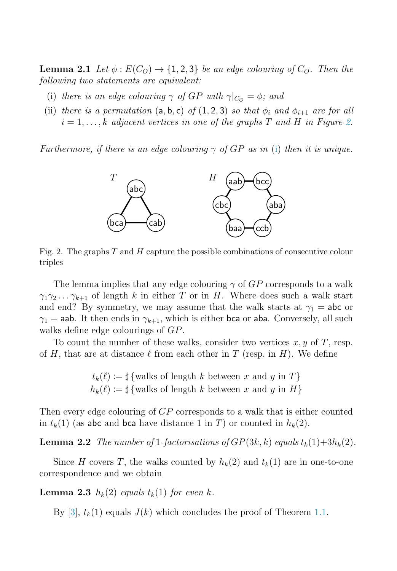<span id="page-3-1"></span>**Lemma 2.1** *Let*  $\phi$  :  $E(C_O) \rightarrow \{1, 2, 3\}$  *be an edge colouring of*  $C_O$ *. Then the following two statements are equivalent:*

- (i) *there is an edge colouring*  $\gamma$  *of*  $GP$  *with*  $\gamma|_{C_O} = \phi$ *; and*
- (ii) *there is a permutation* (a, b, c) *of* (1, 2, 3) *so that*  $\phi_i$  *and*  $\phi_{i+1}$  *are for all*  $i = 1, \ldots, k$  *adjacent vertices in one of the graphs* T *and* H *in Figure* [2.](#page-3-0)

*Furthermore, if there is an edge colouring*  $\gamma$  *of GP as in* [\(i\)](#page-3-1) *then it is unique.* 

<span id="page-3-0"></span>

Fig. 2. The graphs  $T$  and  $H$  capture the possible combinations of consecutive colour triples

The lemma implies that any edge colouring  $\gamma$  of  $GP$  corresponds to a walk  $\gamma_1 \gamma_2 \ldots \gamma_{k+1}$  of length k in either T or in H. Where does such a walk start and end? By symmetry, we may assume that the walk starts at  $\gamma_1 =$  abc or  $\gamma_1$  = aab. It then ends in  $\gamma_{k+1}$ , which is either bca or aba. Conversely, all such walks define edge colourings of GP.

To count the number of these walks, consider two vertices  $x, y$  of T, resp. of H, that are at distance  $\ell$  from each other in T (resp. in H). We define

> $t_k(\ell) \coloneqq \sharp \left\{\text{walks of length } k \text{ between } x \text{ and } y \text{ in } T \right\}$  $h_k(\ell) := \sharp \{\text{walks of length } k \text{ between } x \text{ and } y \text{ in } H\}$

Then every edge colouring of GP corresponds to a walk that is either counted in  $t_k(1)$  (as abc and bca have distance 1 in T) or counted in  $h_k(2)$ .

<span id="page-3-2"></span>**Lemma 2.2** *The number of* 1*-factorisations of*  $GP(3k, k)$  *equals*  $t_k(1) + 3h_k(2)$ *.* 

Since H covers T, the walks counted by  $h_k(2)$  and  $t_k(1)$  are in one-to-one correspondence and we obtain

**Lemma 2.3**  $h_k(2)$  *equals*  $t_k(1)$  *for even*  $k$ *.* 

By [\[3\]](#page-6-1),  $t_k(1)$  equals  $J(k)$  which concludes the proof of Theorem [1.1.](#page-1-0)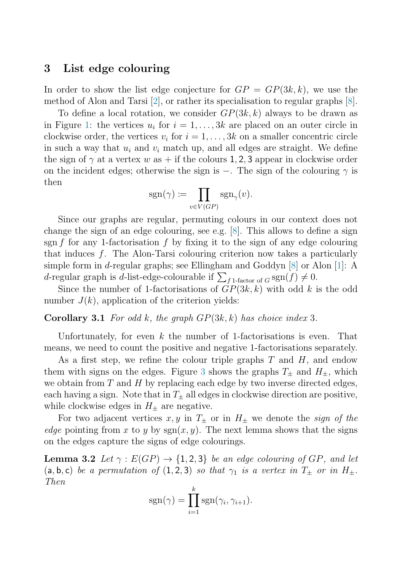### 3 List edge colouring

In order to show the list edge conjecture for  $GP = GP(3k, k)$ , we use the method of Alon and Tarsi [\[2\]](#page-6-8), or rather its specialisation to regular graphs [\[8\]](#page-6-6).

To define a local rotation, we consider  $GP(3k, k)$  always to be drawn as in Figure [1:](#page-2-0) the vertices  $u_i$  for  $i = 1, \ldots, 3k$  are placed on an outer circle in clockwise order, the vertices  $v_i$  for  $i = 1, \ldots, 3k$  on a smaller concentric circle in such a way that  $u_i$  and  $v_i$  match up, and all edges are straight. We define the sign of  $\gamma$  at a vertex w as + if the colours 1, 2, 3 appear in clockwise order on the incident edges; otherwise the sign is  $-$ . The sign of the colouring  $\gamma$  is then

$$
sgn(\gamma) := \prod_{v \in V(GP)} sgn_{\gamma}(v).
$$

Since our graphs are regular, permuting colours in our context does not change the sign of an edge colouring, see e.g.  $[8]$ . This allows to define a sign sgn f for any 1-factorisation f by fixing it to the sign of any edge colouring that induces f. The Alon-Tarsi colouring criterion now takes a particularly simple form in d-regular graphs; see Ellingham and Goddyn  $[8]$  or Alon  $[1]$ : A d-regular graph is d-list-edge-colourable if  $\sum_{f} 1$ -factor of  $G \operatorname{sgn}(f) \neq 0$ .

<span id="page-4-1"></span>Since the number of 1-factorisations of  $GP(3k, k)$  with odd k is the odd number  $J(k)$ , application of the criterion yields:

Corollary 3.1 *For odd* k*, the graph* GP(3k, k) *has choice index* 3*.*

Unfortunately, for even  $k$  the number of 1-factorisations is even. That means, we need to count the positive and negative 1-factorisations separately.

As a first step, we refine the colour triple graphs  $T$  and  $H$ , and endow them with signs on the edges. Figure [3](#page-5-0) shows the graphs  $T_{\pm}$  and  $H_{\pm}$ , which we obtain from  $T$  and  $H$  by replacing each edge by two inverse directed edges, each having a sign. Note that in  $T_{\pm}$  all edges in clockwise direction are positive, while clockwise edges in  $H_{\pm}$  are negative.

<span id="page-4-0"></span>For two adjacent vertices  $x, y$  in  $T_{\pm}$  or in  $H_{\pm}$  we denote the *sign of the edge* pointing from x to y by  $sgn(x, y)$ . The next lemma shows that the signs on the edges capture the signs of edge colourings.

**Lemma 3.2** *Let*  $\gamma$  :  $E(GP) \rightarrow \{1, 2, 3\}$  *be an edge colouring of GP, and let* (a, b, c) *be a permutation of* (1, 2, 3) *so that*  $\gamma_1$  *is a vertex in*  $T_{\pm}$  *or in*  $H_{\pm}$ *. Then*

$$
sgn(\gamma) = \prod_{i=1}^{k} sgn(\gamma_i, \gamma_{i+1}).
$$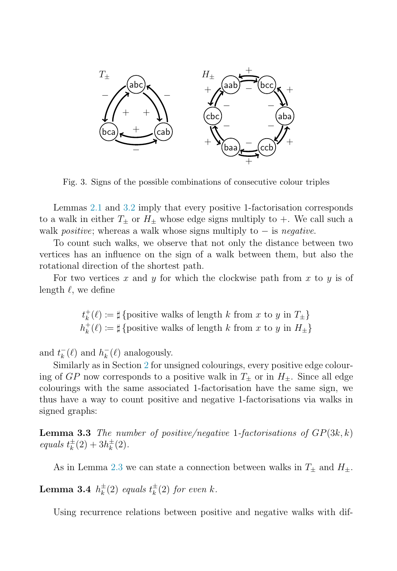

<span id="page-5-0"></span>Fig. 3. Signs of the possible combinations of consecutive colour triples

Lemmas [2.1](#page-2-1) and [3.2](#page-4-0) imply that every positive 1-factorisation corresponds to a walk in either  $T_{\pm}$  or  $H_{\pm}$  whose edge signs multiply to  $+$ . We call such a walk *positive*; whereas a walk whose signs multiply to − is *negative*.

To count such walks, we observe that not only the distance between two vertices has an influence on the sign of a walk between them, but also the rotational direction of the shortest path.

For two vertices x and y for which the clockwise path from x to y is of length  $\ell$ , we define

> $t_k^+(\ell) \coloneqq \sharp \{\text{positive walks of length } k \text{ from } x \text{ to } y \text{ in } T_{\pm} \}$  $h_k^+(\ell) := \sharp \{\text{positive walks of length } k \text{ from } x \text{ to } y \text{ in } H_{\pm} \}$

and  $t_k^-(\ell)$  and  $h_k^-(\ell)$  analogously.

Similarly as in Section [2](#page-2-2) for unsigned colourings, every positive edge colouring of GP now corresponds to a positive walk in  $T_{\pm}$  or in  $H_{\pm}$ . Since all edge colourings with the same associated 1-factorisation have the same sign, we thus have a way to count positive and negative 1-factorisations via walks in signed graphs:

Lemma 3.3 *The number of positive/negative* 1*-factorisations of* GP(3k, k)  $equals \; t_k^{\pm}(2) + 3h_k^{\pm}(2).$ 

As in Lemma [2.3](#page-3-2) we can state a connection between walks in  $T_{\pm}$  and  $H_{\pm}$ .

**Lemma 3.4**  $h_k^{\pm}(2)$  *equals*  $t_k^{\pm}(2)$  *for even k.* 

Using recurrence relations between positive and negative walks with dif-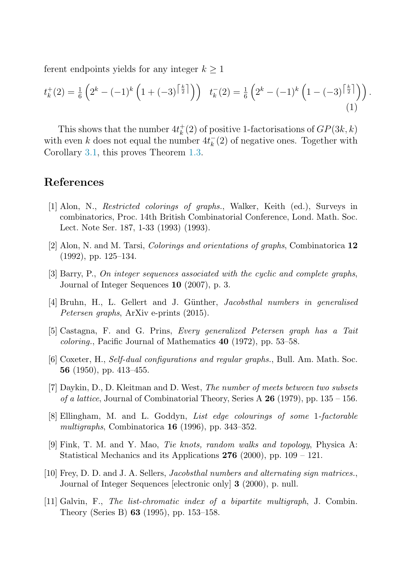ferent endpoints yields for any integer  $k \geq 1$ 

$$
t_k^+(2) = \frac{1}{6} \left( 2^k - (-1)^k \left( 1 + (-3)^{\left\lceil \frac{k}{2} \right\rceil} \right) \right) \quad t_k^-(2) = \frac{1}{6} \left( 2^k - (-1)^k \left( 1 - (-3)^{\left\lceil \frac{k}{2} \right\rceil} \right) \right). \tag{1}
$$

<span id="page-6-10"></span>This shows that the number  $4t_k^+(2)$  of positive 1-factorisations of  $GP(3k, k)$ with even k does not equal the number  $4t_k^-(2)$  of negative ones. Together with Corollary [3.1,](#page-4-1) this proves Theorem [1.3.](#page-1-1)

#### <span id="page-6-8"></span>References

- <span id="page-6-1"></span>[1] Alon, N., *Restricted colorings of graphs.*, Walker, Keith (ed.), Surveys in combinatorics, Proc. 14th British Combinatorial Conference, Lond. Math. Soc. Lect. Note Ser. 187, 1-33 (1993) (1993).
- <span id="page-6-9"></span>[2] Alon, N. and M. Tarsi, *Colorings and orientations of graphs*, Combinatorica 12 (1992), pp. 125–134.
- <span id="page-6-7"></span>[3] Barry, P., *On integer sequences associated with the cyclic and complete graphs*, Journal of Integer Sequences 10 (2007), p. 3.
- <span id="page-6-4"></span>[4] Bruhn, H., L. Gellert and J. G¨unther, *Jacobsthal numbers in generalised Petersen graphs*, ArXiv e-prints (2015).
- <span id="page-6-0"></span>[5] Castagna, F. and G. Prins, *Every generalized Petersen graph has a Tait coloring.*, Pacific Journal of Mathematics 40 (1972), pp. 53–58.
- <span id="page-6-6"></span>[6] Coxeter, H., *Self-dual configurations and regular graphs.*, Bull. Am. Math. Soc. 56 (1950), pp. 413–455.
- <span id="page-6-3"></span>[7] Daykin, D., D. Kleitman and D. West, *The number of meets between two subsets of a lattice*, Journal of Combinatorial Theory, Series A 26 (1979), pp. 135 – 156.
- <span id="page-6-2"></span>[8] Ellingham, M. and L. Goddyn, *List edge colourings of some* 1*-factorable multigraphs*, Combinatorica 16 (1996), pp. 343–352.
- <span id="page-6-5"></span>[9] Fink, T. M. and Y. Mao, *Tie knots, random walks and topology*, Physica A: Statistical Mechanics and its Applications 276 (2000), pp. 109 – 121.
- [10] Frey, D. D. and J. A. Sellers, *Jacobsthal numbers and alternating sign matrices.*, Journal of Integer Sequences [electronic only] 3 (2000), p. null.
- [11] Galvin, F., *The list-chromatic index of a bipartite multigraph*, J. Combin. Theory (Series B) 63 (1995), pp. 153–158.